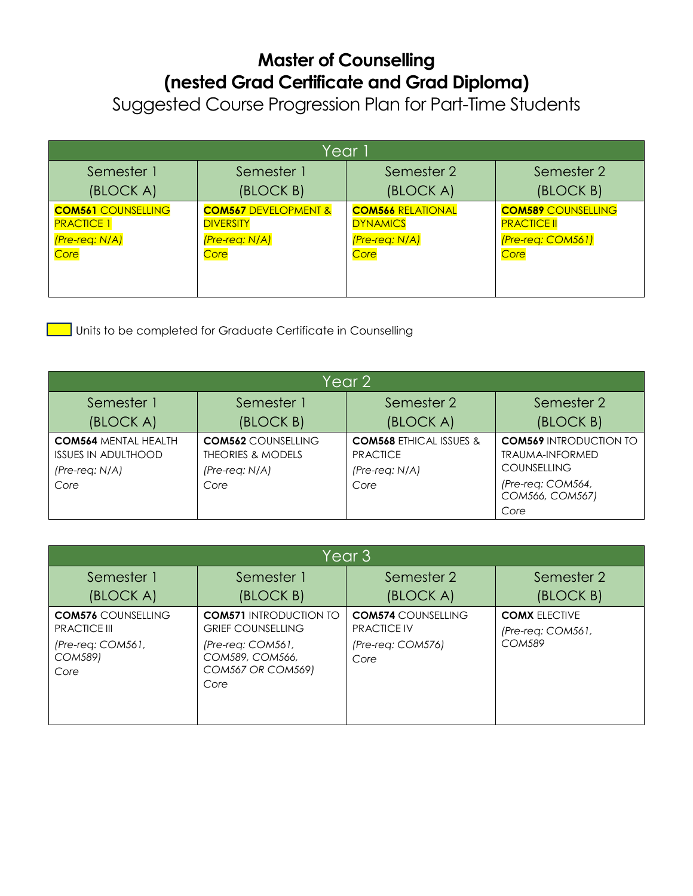## **Master of Counselling (nested Grad Certificate and Grad Diploma)**

Suggested Course Progression Plan for Part-Time Students

| Year                      |                                 |                          |                           |  |  |
|---------------------------|---------------------------------|--------------------------|---------------------------|--|--|
| Semester 1                | Semester 1                      | Semester 2               | Semester 2                |  |  |
| (BLOCK A)                 | (BLOCK B)                       | (BLOCK A)                | (BLOCK B)                 |  |  |
| <b>COM561 COUNSELLING</b> | <b>COM567 DEVELOPMENT &amp;</b> | <b>COM566 RELATIONAL</b> | <b>COM589 COUNSELLING</b> |  |  |
| <b>PRACTICE 1</b>         | <b>DIVERSITY</b>                | <b>DYNAMICS</b>          | <b>PRACTICE II</b>        |  |  |
| (Pre-req: N/A)            | (Pre-req: N/A)                  | (Pre-req: N/A)           | (Pre-req: COM561)         |  |  |
| Core                      | Core                            | Core                     | Core                      |  |  |

**Units to be completed for Graduate Certificate in Counselling** 

| Year 2                                                                                |                                                                                     |                                                                                   |                                                                                                                               |  |  |
|---------------------------------------------------------------------------------------|-------------------------------------------------------------------------------------|-----------------------------------------------------------------------------------|-------------------------------------------------------------------------------------------------------------------------------|--|--|
| Semester 1                                                                            | Semester 1                                                                          | Semester 2                                                                        | Semester 2                                                                                                                    |  |  |
| (BLOCK A)                                                                             | (BLOCK B)                                                                           | (BLOCK A)                                                                         | (BLOCK B)                                                                                                                     |  |  |
| <b>COM564 MENTAL HEALTH</b><br><b>ISSUES IN ADULTHOOD</b><br>$(Pre-reg: N/A)$<br>Core | <b>COM562 COUNSELLING</b><br><b>THEORIES &amp; MODELS</b><br>(Pre-req: N/A)<br>Core | <b>COM568 ETHICAL ISSUES &amp;</b><br><b>PRACTICE</b><br>$(Pre-reg: N/A)$<br>Core | <b>COM569 INTRODUCTION TO</b><br><b>TRAUMA-INFORMED</b><br><b>COUNSELLING</b><br>(Pre-req: COM564,<br>COM566, COM567)<br>Core |  |  |

| Year 3                                                                                            |                                                                                                                                         |                                                                              |                                                            |  |  |
|---------------------------------------------------------------------------------------------------|-----------------------------------------------------------------------------------------------------------------------------------------|------------------------------------------------------------------------------|------------------------------------------------------------|--|--|
| Semester 1<br>(BLOCK A)                                                                           | Semester 1<br>(BLOCK B)                                                                                                                 | Semester 2<br>(BLOCK A)                                                      | Semester 2<br>(BLOCK B)                                    |  |  |
| <b>COM576 COUNSELLING</b><br><b>PRACTICE III</b><br>$(Pre-reg: COM561,$<br><b>COM589)</b><br>Core | <b>COM571 INTRODUCTION TO</b><br><b>GRIEF COUNSELLING</b><br>$(Pre-reg: COM561,$<br>COM589, COM566,<br><b>COM567 OR COM569)</b><br>Core | <b>COM574 COUNSELLING</b><br><b>PRACTICE IV</b><br>(Pre-req: COM576)<br>Core | <b>COMX ELECTIVE</b><br>(Pre-req: COM561,<br><b>COM589</b> |  |  |